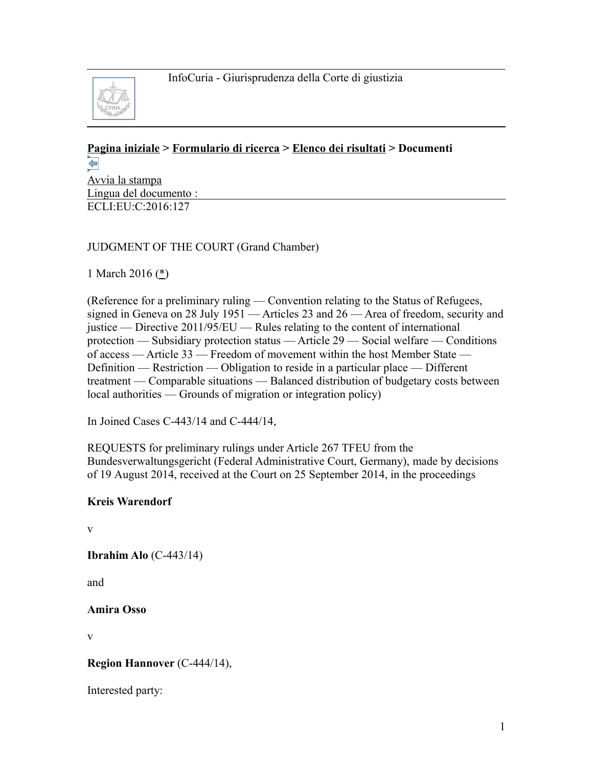

#### **[Pagina iniziale](http://curia.europa.eu/jcms/jcms/j_6?PortalAction_x_000_userLang=it) > [Formulario di ricerca](http://curia.europa.eu/juris/document/document.jsf?doclang=EN&text=&pageIndex=0&part=1&mode=lst&docid=174657&occ=first&dir=&actionMethod=document%2Fdocument.xhtml%3AformController.resetAction&cid=1357270) > [Elenco dei risultati](http://curia.europa.eu/juris/documents.jsf?pro=&lgrec=it&nat=or&oqp=&lg=&dates=&language=it&jur=C%2CT%2CF&cit=none%252CC%252CCJ%252CR%252C2008E%252C%252C%252C%252C%252C%252C%252C%252C%252C%252Ctrue%252Cfalse%252Cfalse&num=C-443%252F14&td=%3BALL&pcs=Oor&avg=&page=1&mat=or&jge=&for=&cid=1357270) > Documenti**  ⇦

[Avvia la stampa](http://curia.europa.eu/juris/document/document_print.jsf?doclang=EN&text=&pageIndex=0&part=1&mode=lst&docid=174657&occ=first&dir=&cid=1357270) Lingua del documento : ECLI:EU:C:2016:127

## JUDGMENT OF THE COURT (Grand Chamber)

1 March 2016 [\(\\*\)](http://curia.europa.eu/juris/document/document.jsf?text=&docid=174657&pageIndex=0&doclang=EN&mode=lst&dir=&occ=first&part=1&cid=1357270#Footnote*)

(Reference for a preliminary ruling — Convention relating to the Status of Refugees, signed in Geneva on 28 July 1951 — Articles 23 and 26 — Area of freedom, security and justice — Directive 2011/95/EU — Rules relating to the content of international protection — Subsidiary protection status — Article 29 — Social welfare — Conditions of access — Article 33 — Freedom of movement within the host Member State — Definition — Restriction — Obligation to reside in a particular place — Different treatment — Comparable situations — Balanced distribution of budgetary costs between local authorities — Grounds of migration or integration policy)

In Joined Cases C-443/14 and C-444/14,

REQUESTS for preliminary rulings under Article 267 TFEU from the Bundesverwaltungsgericht (Federal Administrative Court, Germany), made by decisions of 19 August 2014, received at the Court on 25 September 2014, in the proceedings

### **Kreis Warendorf**

v

**Ibrahim Alo** (C-443/14)

and

**Amira Osso**

v

## **Region Hannover** (C-444/14),

Interested party: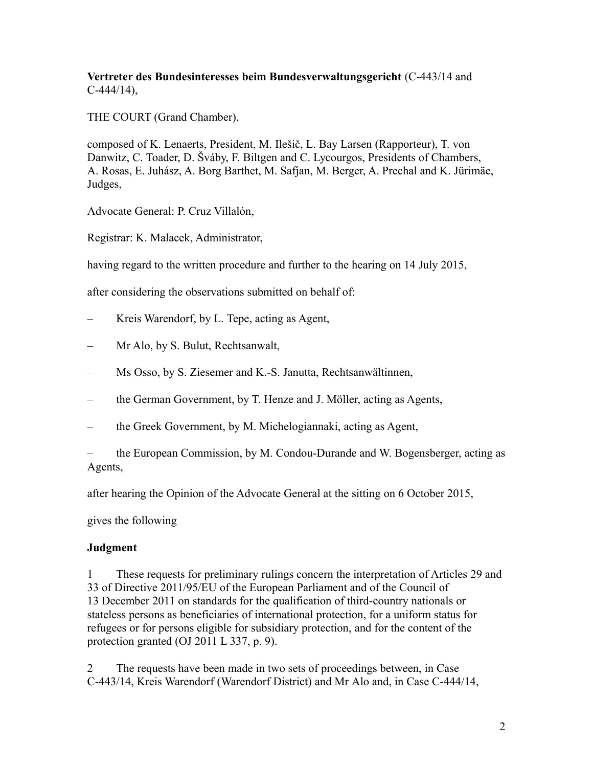**Vertreter des Bundesinteresses beim Bundesverwaltungsgericht** (C-443/14 and  $C-444/14$ ),

THE COURT (Grand Chamber),

composed of K. Lenaerts, President, M. Ilešič, L. Bay Larsen (Rapporteur), T. von Danwitz, C. Toader, D. Šváby, F. Biltgen and C. Lycourgos, Presidents of Chambers, A. Rosas, E. Juhász, A. Borg Barthet, M. Safjan, M. Berger, A. Prechal and K. Jürimäe, Judges,

Advocate General: P. Cruz Villalón,

Registrar: K. Malacek, Administrator,

having regard to the written procedure and further to the hearing on 14 July 2015,

after considering the observations submitted on behalf of:

- Kreis Warendorf, by L. Tepe, acting as Agent,
- Mr Alo, by S. Bulut, Rechtsanwalt,
- Ms Osso, by S. Ziesemer and K.-S. Janutta, Rechtsanwältinnen,
- the German Government, by T. Henze and J. Möller, acting as Agents,
- the Greek Government, by M. Michelogiannaki, acting as Agent,

– the European Commission, by M. Condou-Durande and W. Bogensberger, acting as Agents,

after hearing the Opinion of the Advocate General at the sitting on 6 October 2015,

gives the following

### **Judgment**

1 These requests for preliminary rulings concern the interpretation of Articles 29 and 33 of Directive 2011/95/EU of the European Parliament and of the Council of 13 December 2011 on standards for the qualification of third-country nationals or stateless persons as beneficiaries of international protection, for a uniform status for refugees or for persons eligible for subsidiary protection, and for the content of the protection granted (OJ 2011 L 337, p. 9).

2 The requests have been made in two sets of proceedings between, in Case C-443/14, Kreis Warendorf (Warendorf District) and Mr Alo and, in Case C-444/14,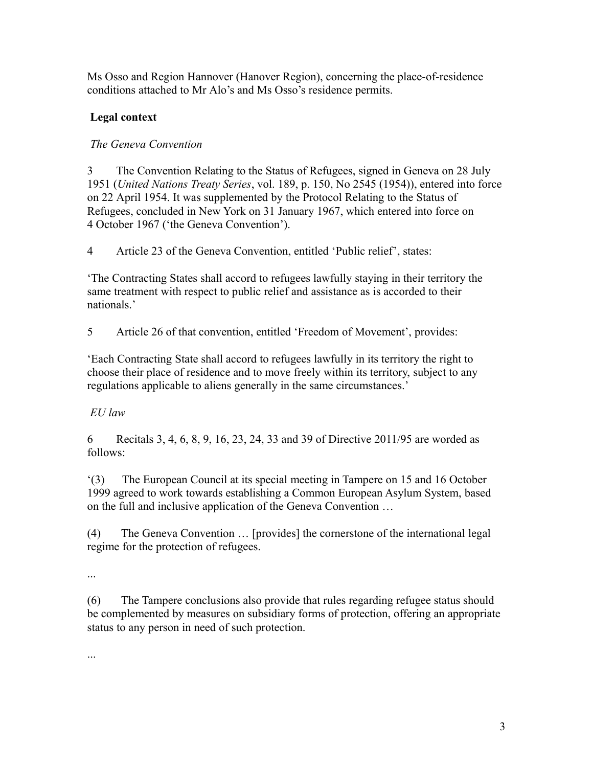Ms Osso and Region Hannover (Hanover Region), concerning the place-of-residence conditions attached to Mr Alo's and Ms Osso's residence permits.

# **Legal context**

# *The Geneva Convention*

3 The Convention Relating to the Status of Refugees, signed in Geneva on 28 July 1951 (*United Nations Treaty Series*, vol. 189, p. 150, No 2545 (1954)), entered into force on 22 April 1954. It was supplemented by the Protocol Relating to the Status of Refugees, concluded in New York on 31 January 1967, which entered into force on 4 October 1967 ('the Geneva Convention').

4 Article 23 of the Geneva Convention, entitled 'Public relief', states:

'The Contracting States shall accord to refugees lawfully staying in their territory the same treatment with respect to public relief and assistance as is accorded to their nationals.'

5 Article 26 of that convention, entitled 'Freedom of Movement', provides:

'Each Contracting State shall accord to refugees lawfully in its territory the right to choose their place of residence and to move freely within its territory, subject to any regulations applicable to aliens generally in the same circumstances.'

# *EU law*

6 Recitals 3, 4, 6, 8, 9, 16, 23, 24, 33 and 39 of Directive 2011/95 are worded as follows:

'(3) The European Council at its special meeting in Tampere on 15 and 16 October 1999 agreed to work towards establishing a Common European Asylum System, based on the full and inclusive application of the Geneva Convention …

(4) The Geneva Convention … [provides] the cornerstone of the international legal regime for the protection of refugees.

...

(6) The Tampere conclusions also provide that rules regarding refugee status should be complemented by measures on subsidiary forms of protection, offering an appropriate status to any person in need of such protection.

...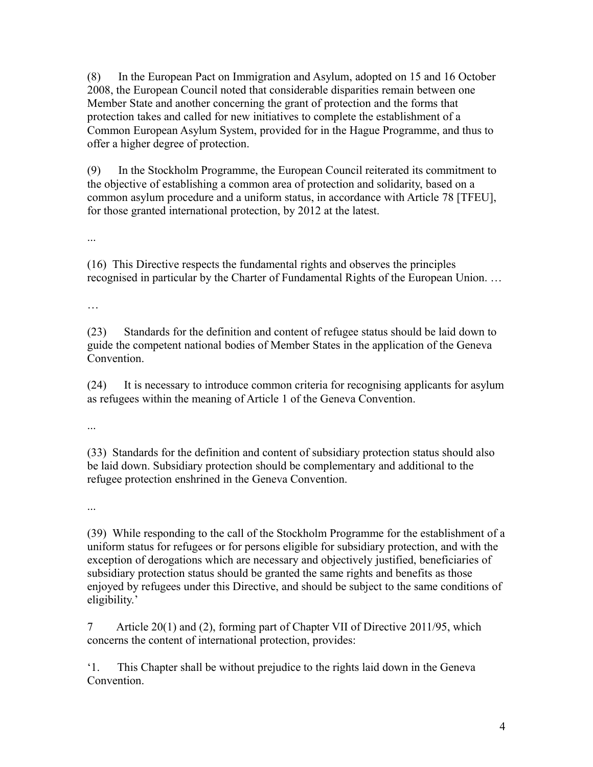(8) In the European Pact on Immigration and Asylum, adopted on 15 and 16 October 2008, the European Council noted that considerable disparities remain between one Member State and another concerning the grant of protection and the forms that protection takes and called for new initiatives to complete the establishment of a Common European Asylum System, provided for in the Hague Programme, and thus to offer a higher degree of protection.

(9) In the Stockholm Programme, the European Council reiterated its commitment to the objective of establishing a common area of protection and solidarity, based on a common asylum procedure and a uniform status, in accordance with Article 78 [TFEU], for those granted international protection, by 2012 at the latest.

...

(16) This Directive respects the fundamental rights and observes the principles recognised in particular by the Charter of Fundamental Rights of the European Union. …

…

(23) Standards for the definition and content of refugee status should be laid down to guide the competent national bodies of Member States in the application of the Geneva Convention.

(24) It is necessary to introduce common criteria for recognising applicants for asylum as refugees within the meaning of Article 1 of the Geneva Convention.

...

(33) Standards for the definition and content of subsidiary protection status should also be laid down. Subsidiary protection should be complementary and additional to the refugee protection enshrined in the Geneva Convention.

...

(39) While responding to the call of the Stockholm Programme for the establishment of a uniform status for refugees or for persons eligible for subsidiary protection, and with the exception of derogations which are necessary and objectively justified, beneficiaries of subsidiary protection status should be granted the same rights and benefits as those enjoyed by refugees under this Directive, and should be subject to the same conditions of eligibility.'

7 Article 20(1) and (2), forming part of Chapter VII of Directive 2011/95, which concerns the content of international protection, provides:

'1. This Chapter shall be without prejudice to the rights laid down in the Geneva **Convention**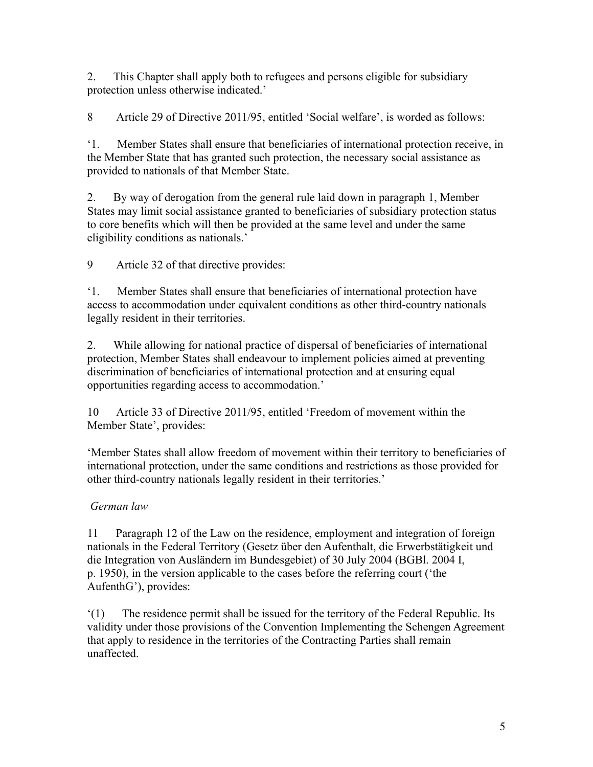2. This Chapter shall apply both to refugees and persons eligible for subsidiary protection unless otherwise indicated.'

8 Article 29 of Directive 2011/95, entitled 'Social welfare', is worded as follows:

'1. Member States shall ensure that beneficiaries of international protection receive, in the Member State that has granted such protection, the necessary social assistance as provided to nationals of that Member State.

2. By way of derogation from the general rule laid down in paragraph 1, Member States may limit social assistance granted to beneficiaries of subsidiary protection status to core benefits which will then be provided at the same level and under the same eligibility conditions as nationals.'

9 Article 32 of that directive provides:

'1. Member States shall ensure that beneficiaries of international protection have access to accommodation under equivalent conditions as other third-country nationals legally resident in their territories.

2. While allowing for national practice of dispersal of beneficiaries of international protection, Member States shall endeavour to implement policies aimed at preventing discrimination of beneficiaries of international protection and at ensuring equal opportunities regarding access to accommodation.'

10 Article 33 of Directive 2011/95, entitled 'Freedom of movement within the Member State', provides:

'Member States shall allow freedom of movement within their territory to beneficiaries of international protection, under the same conditions and restrictions as those provided for other third-country nationals legally resident in their territories.'

# *German law*

11 Paragraph 12 of the Law on the residence, employment and integration of foreign nationals in the Federal Territory (Gesetz über den Aufenthalt, die Erwerbstätigkeit und die Integration von Ausländern im Bundesgebiet) of 30 July 2004 (BGBl. 2004 I, p. 1950), in the version applicable to the cases before the referring court ('the AufenthG'), provides:

'(1) The residence permit shall be issued for the territory of the Federal Republic. Its validity under those provisions of the Convention Implementing the Schengen Agreement that apply to residence in the territories of the Contracting Parties shall remain unaffected.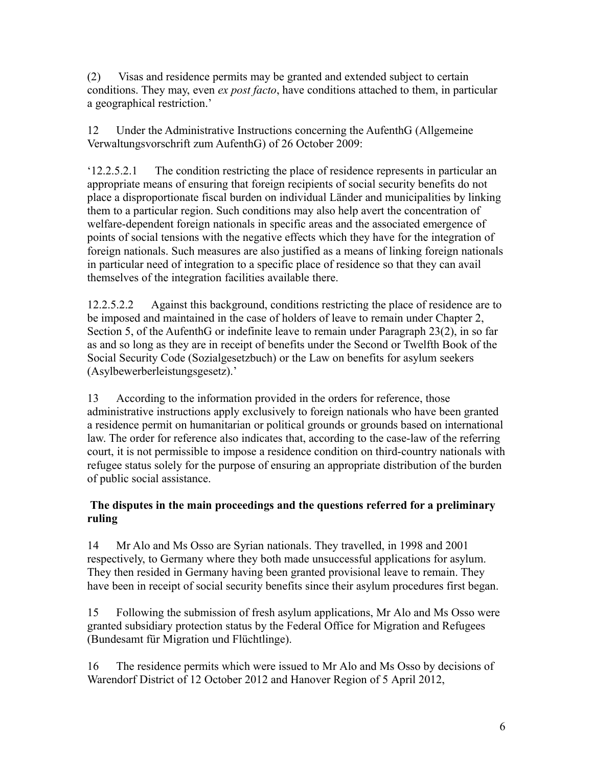(2) Visas and residence permits may be granted and extended subject to certain conditions. They may, even *ex post facto*, have conditions attached to them, in particular a geographical restriction.'

12 Under the Administrative Instructions concerning the AufenthG (Allgemeine Verwaltungsvorschrift zum AufenthG) of 26 October 2009:

'12.2.5.2.1 The condition restricting the place of residence represents in particular an appropriate means of ensuring that foreign recipients of social security benefits do not place a disproportionate fiscal burden on individual Länder and municipalities by linking them to a particular region. Such conditions may also help avert the concentration of welfare-dependent foreign nationals in specific areas and the associated emergence of points of social tensions with the negative effects which they have for the integration of foreign nationals. Such measures are also justified as a means of linking foreign nationals in particular need of integration to a specific place of residence so that they can avail themselves of the integration facilities available there.

12.2.5.2.2 Against this background, conditions restricting the place of residence are to be imposed and maintained in the case of holders of leave to remain under Chapter 2, Section 5, of the AufenthG or indefinite leave to remain under Paragraph 23(2), in so far as and so long as they are in receipt of benefits under the Second or Twelfth Book of the Social Security Code (Sozialgesetzbuch) or the Law on benefits for asylum seekers (Asylbewerberleistungsgesetz).'

13 According to the information provided in the orders for reference, those administrative instructions apply exclusively to foreign nationals who have been granted a residence permit on humanitarian or political grounds or grounds based on international law. The order for reference also indicates that, according to the case-law of the referring court, it is not permissible to impose a residence condition on third-country nationals with refugee status solely for the purpose of ensuring an appropriate distribution of the burden of public social assistance.

## **The disputes in the main proceedings and the questions referred for a preliminary ruling**

14 Mr Alo and Ms Osso are Syrian nationals. They travelled, in 1998 and 2001 respectively, to Germany where they both made unsuccessful applications for asylum. They then resided in Germany having been granted provisional leave to remain. They have been in receipt of social security benefits since their asylum procedures first began.

15 Following the submission of fresh asylum applications, Mr Alo and Ms Osso were granted subsidiary protection status by the Federal Office for Migration and Refugees (Bundesamt für Migration und Flüchtlinge).

16 The residence permits which were issued to Mr Alo and Ms Osso by decisions of Warendorf District of 12 October 2012 and Hanover Region of 5 April 2012,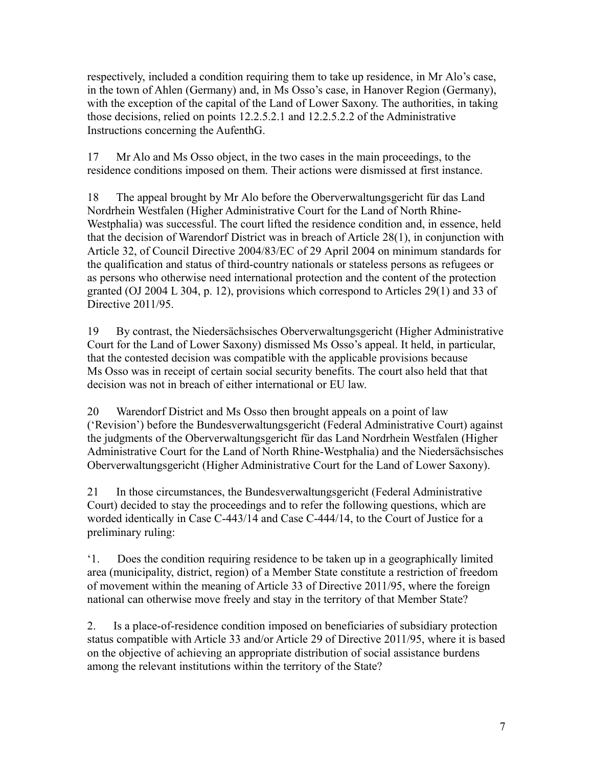respectively, included a condition requiring them to take up residence, in Mr Alo's case, in the town of Ahlen (Germany) and, in Ms Osso's case, in Hanover Region (Germany), with the exception of the capital of the Land of Lower Saxony. The authorities, in taking those decisions, relied on points 12.2.5.2.1 and 12.2.5.2.2 of the Administrative Instructions concerning the AufenthG.

17 Mr Alo and Ms Osso object, in the two cases in the main proceedings, to the residence conditions imposed on them. Their actions were dismissed at first instance.

18 The appeal brought by Mr Alo before the Oberverwaltungsgericht für das Land Nordrhein Westfalen (Higher Administrative Court for the Land of North Rhine-Westphalia) was successful. The court lifted the residence condition and, in essence, held that the decision of Warendorf District was in breach of Article 28(1), in conjunction with Article 32, of Council Directive 2004/83/EC of 29 April 2004 on minimum standards for the qualification and status of third-country nationals or stateless persons as refugees or as persons who otherwise need international protection and the content of the protection granted (OJ 2004 L 304, p. 12), provisions which correspond to Articles 29(1) and 33 of Directive 2011/95.

19 By contrast, the Niedersächsisches Oberverwaltungsgericht (Higher Administrative Court for the Land of Lower Saxony) dismissed Ms Osso's appeal. It held, in particular, that the contested decision was compatible with the applicable provisions because Ms Osso was in receipt of certain social security benefits. The court also held that that decision was not in breach of either international or EU law.

20 Warendorf District and Ms Osso then brought appeals on a point of law ('Revision') before the Bundesverwaltungsgericht (Federal Administrative Court) against the judgments of the Oberverwaltungsgericht für das Land Nordrhein Westfalen (Higher Administrative Court for the Land of North Rhine-Westphalia) and the Niedersächsisches Oberverwaltungsgericht (Higher Administrative Court for the Land of Lower Saxony).

21 In those circumstances, the Bundesverwaltungsgericht (Federal Administrative Court) decided to stay the proceedings and to refer the following questions, which are worded identically in Case C-443/14 and Case C-444/14, to the Court of Justice for a preliminary ruling:

'1. Does the condition requiring residence to be taken up in a geographically limited area (municipality, district, region) of a Member State constitute a restriction of freedom of movement within the meaning of Article 33 of Directive 2011/95, where the foreign national can otherwise move freely and stay in the territory of that Member State?

2. Is a place-of-residence condition imposed on beneficiaries of subsidiary protection status compatible with Article 33 and/or Article 29 of Directive 2011/95, where it is based on the objective of achieving an appropriate distribution of social assistance burdens among the relevant institutions within the territory of the State?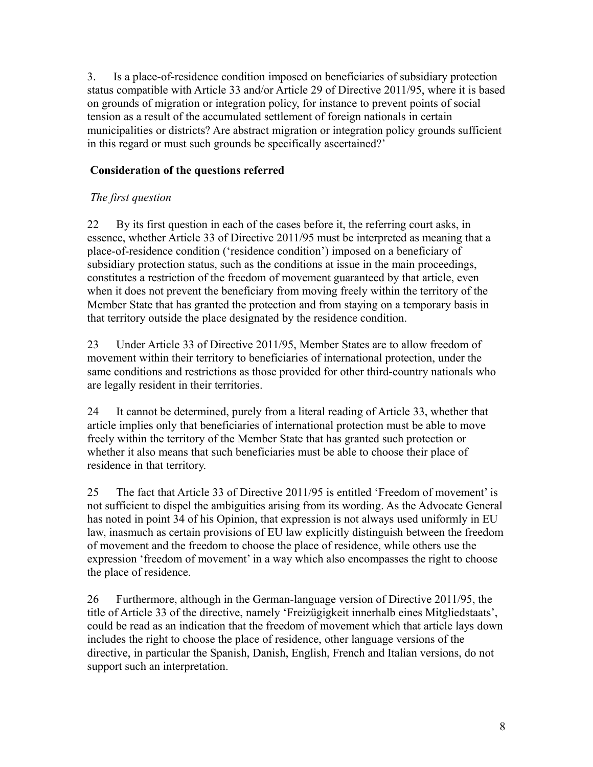3. Is a place-of-residence condition imposed on beneficiaries of subsidiary protection status compatible with Article 33 and/or Article 29 of Directive 2011/95, where it is based on grounds of migration or integration policy, for instance to prevent points of social tension as a result of the accumulated settlement of foreign nationals in certain municipalities or districts? Are abstract migration or integration policy grounds sufficient in this regard or must such grounds be specifically ascertained?'

## **Consideration of the questions referred**

## *The first question*

22 By its first question in each of the cases before it, the referring court asks, in essence, whether Article 33 of Directive 2011/95 must be interpreted as meaning that a place-of-residence condition ('residence condition') imposed on a beneficiary of subsidiary protection status, such as the conditions at issue in the main proceedings, constitutes a restriction of the freedom of movement guaranteed by that article, even when it does not prevent the beneficiary from moving freely within the territory of the Member State that has granted the protection and from staying on a temporary basis in that territory outside the place designated by the residence condition.

23 Under Article 33 of Directive 2011/95, Member States are to allow freedom of movement within their territory to beneficiaries of international protection, under the same conditions and restrictions as those provided for other third-country nationals who are legally resident in their territories.

24 It cannot be determined, purely from a literal reading of Article 33, whether that article implies only that beneficiaries of international protection must be able to move freely within the territory of the Member State that has granted such protection or whether it also means that such beneficiaries must be able to choose their place of residence in that territory.

25 The fact that Article 33 of Directive 2011/95 is entitled 'Freedom of movement' is not sufficient to dispel the ambiguities arising from its wording. As the Advocate General has noted in point 34 of his Opinion, that expression is not always used uniformly in EU law, inasmuch as certain provisions of EU law explicitly distinguish between the freedom of movement and the freedom to choose the place of residence, while others use the expression 'freedom of movement' in a way which also encompasses the right to choose the place of residence.

26 Furthermore, although in the German-language version of Directive 2011/95, the title of Article 33 of the directive, namely 'Freizügigkeit innerhalb eines Mitgliedstaats', could be read as an indication that the freedom of movement which that article lays down includes the right to choose the place of residence, other language versions of the directive, in particular the Spanish, Danish, English, French and Italian versions, do not support such an interpretation.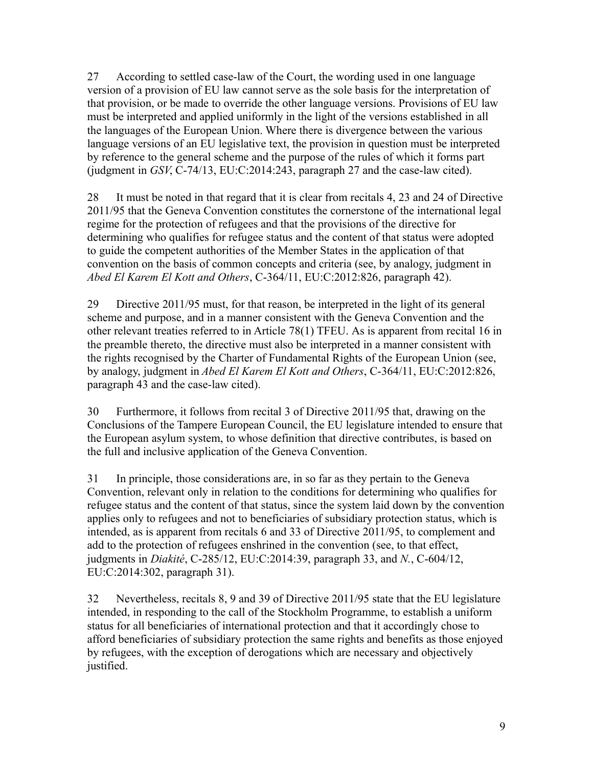27 According to settled case-law of the Court, the wording used in one language version of a provision of EU law cannot serve as the sole basis for the interpretation of that provision, or be made to override the other language versions. Provisions of EU law must be interpreted and applied uniformly in the light of the versions established in all the languages of the European Union. Where there is divergence between the various language versions of an EU legislative text, the provision in question must be interpreted by reference to the general scheme and the purpose of the rules of which it forms part (judgment in *GSV*, C-74/13, EU:C:2014:243, paragraph 27 and the case-law cited).

28 It must be noted in that regard that it is clear from recitals 4, 23 and 24 of Directive 2011/95 that the Geneva Convention constitutes the cornerstone of the international legal regime for the protection of refugees and that the provisions of the directive for determining who qualifies for refugee status and the content of that status were adopted to guide the competent authorities of the Member States in the application of that convention on the basis of common concepts and criteria (see, by analogy, judgment in *Abed El Karem El Kott and Others*, C-364/11, EU:C:2012:826, paragraph 42).

29 Directive 2011/95 must, for that reason, be interpreted in the light of its general scheme and purpose, and in a manner consistent with the Geneva Convention and the other relevant treaties referred to in Article 78(1) TFEU. As is apparent from recital 16 in the preamble thereto, the directive must also be interpreted in a manner consistent with the rights recognised by the Charter of Fundamental Rights of the European Union (see, by analogy, judgment in *Abed El Karem El Kott and Others*, C-364/11, EU:C:2012:826, paragraph 43 and the case-law cited).

30 Furthermore, it follows from recital 3 of Directive 2011/95 that, drawing on the Conclusions of the Tampere European Council, the EU legislature intended to ensure that the European asylum system, to whose definition that directive contributes, is based on the full and inclusive application of the Geneva Convention.

31 In principle, those considerations are, in so far as they pertain to the Geneva Convention, relevant only in relation to the conditions for determining who qualifies for refugee status and the content of that status, since the system laid down by the convention applies only to refugees and not to beneficiaries of subsidiary protection status, which is intended, as is apparent from recitals 6 and 33 of Directive 2011/95, to complement and add to the protection of refugees enshrined in the convention (see, to that effect, judgments in *Diakité*, C-285/12, EU:C:2014:39, paragraph 33, and *N.*, C-604/12, EU:C:2014:302, paragraph 31).

32 Nevertheless, recitals 8, 9 and 39 of Directive 2011/95 state that the EU legislature intended, in responding to the call of the Stockholm Programme, to establish a uniform status for all beneficiaries of international protection and that it accordingly chose to afford beneficiaries of subsidiary protection the same rights and benefits as those enjoyed by refugees, with the exception of derogations which are necessary and objectively justified.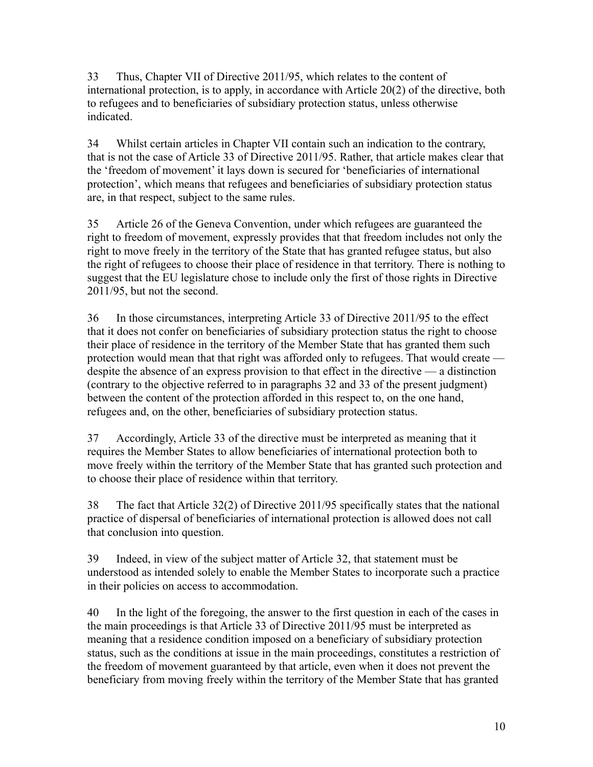33 Thus, Chapter VII of Directive 2011/95, which relates to the content of international protection, is to apply, in accordance with Article 20(2) of the directive, both to refugees and to beneficiaries of subsidiary protection status, unless otherwise indicated.

34 Whilst certain articles in Chapter VII contain such an indication to the contrary, that is not the case of Article 33 of Directive 2011/95. Rather, that article makes clear that the 'freedom of movement' it lays down is secured for 'beneficiaries of international protection', which means that refugees and beneficiaries of subsidiary protection status are, in that respect, subject to the same rules.

35 Article 26 of the Geneva Convention, under which refugees are guaranteed the right to freedom of movement, expressly provides that that freedom includes not only the right to move freely in the territory of the State that has granted refugee status, but also the right of refugees to choose their place of residence in that territory. There is nothing to suggest that the EU legislature chose to include only the first of those rights in Directive 2011/95, but not the second.

36 In those circumstances, interpreting Article 33 of Directive 2011/95 to the effect that it does not confer on beneficiaries of subsidiary protection status the right to choose their place of residence in the territory of the Member State that has granted them such protection would mean that that right was afforded only to refugees. That would create despite the absence of an express provision to that effect in the directive — a distinction (contrary to the objective referred to in paragraphs 32 and 33 of the present judgment) between the content of the protection afforded in this respect to, on the one hand, refugees and, on the other, beneficiaries of subsidiary protection status.

37 Accordingly, Article 33 of the directive must be interpreted as meaning that it requires the Member States to allow beneficiaries of international protection both to move freely within the territory of the Member State that has granted such protection and to choose their place of residence within that territory.

38 The fact that Article 32(2) of Directive 2011/95 specifically states that the national practice of dispersal of beneficiaries of international protection is allowed does not call that conclusion into question.

39 Indeed, in view of the subject matter of Article 32, that statement must be understood as intended solely to enable the Member States to incorporate such a practice in their policies on access to accommodation.

40 In the light of the foregoing, the answer to the first question in each of the cases in the main proceedings is that Article 33 of Directive 2011/95 must be interpreted as meaning that a residence condition imposed on a beneficiary of subsidiary protection status, such as the conditions at issue in the main proceedings, constitutes a restriction of the freedom of movement guaranteed by that article, even when it does not prevent the beneficiary from moving freely within the territory of the Member State that has granted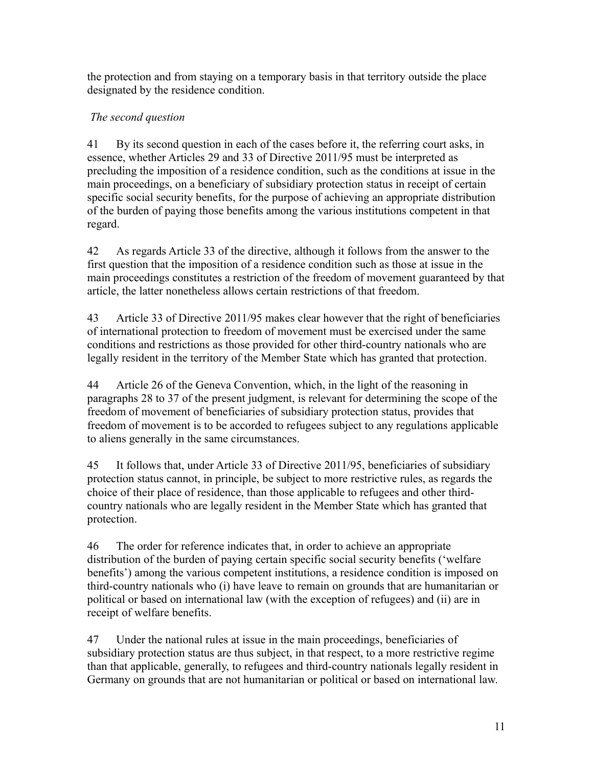the protection and from staying on a temporary basis in that territory outside the place designated by the residence condition.

## *The second question*

41 By its second question in each of the cases before it, the referring court asks, in essence, whether Articles 29 and 33 of Directive 2011/95 must be interpreted as precluding the imposition of a residence condition, such as the conditions at issue in the main proceedings, on a beneficiary of subsidiary protection status in receipt of certain specific social security benefits, for the purpose of achieving an appropriate distribution of the burden of paying those benefits among the various institutions competent in that regard.

42 As regards Article 33 of the directive, although it follows from the answer to the first question that the imposition of a residence condition such as those at issue in the main proceedings constitutes a restriction of the freedom of movement guaranteed by that article, the latter nonetheless allows certain restrictions of that freedom.

43 Article 33 of Directive 2011/95 makes clear however that the right of beneficiaries of international protection to freedom of movement must be exercised under the same conditions and restrictions as those provided for other third-country nationals who are legally resident in the territory of the Member State which has granted that protection.

44 Article 26 of the Geneva Convention, which, in the light of the reasoning in paragraphs 28 to 37 of the present judgment, is relevant for determining the scope of the freedom of movement of beneficiaries of subsidiary protection status, provides that freedom of movement is to be accorded to refugees subject to any regulations applicable to aliens generally in the same circumstances.

45 It follows that, under Article 33 of Directive 2011/95, beneficiaries of subsidiary protection status cannot, in principle, be subject to more restrictive rules, as regards the choice of their place of residence, than those applicable to refugees and other thirdcountry nationals who are legally resident in the Member State which has granted that protection.

46 The order for reference indicates that, in order to achieve an appropriate distribution of the burden of paying certain specific social security benefits ('welfare benefits') among the various competent institutions, a residence condition is imposed on third-country nationals who (i) have leave to remain on grounds that are humanitarian or political or based on international law (with the exception of refugees) and (ii) are in receipt of welfare benefits.

47 Under the national rules at issue in the main proceedings, beneficiaries of subsidiary protection status are thus subject, in that respect, to a more restrictive regime than that applicable, generally, to refugees and third-country nationals legally resident in Germany on grounds that are not humanitarian or political or based on international law.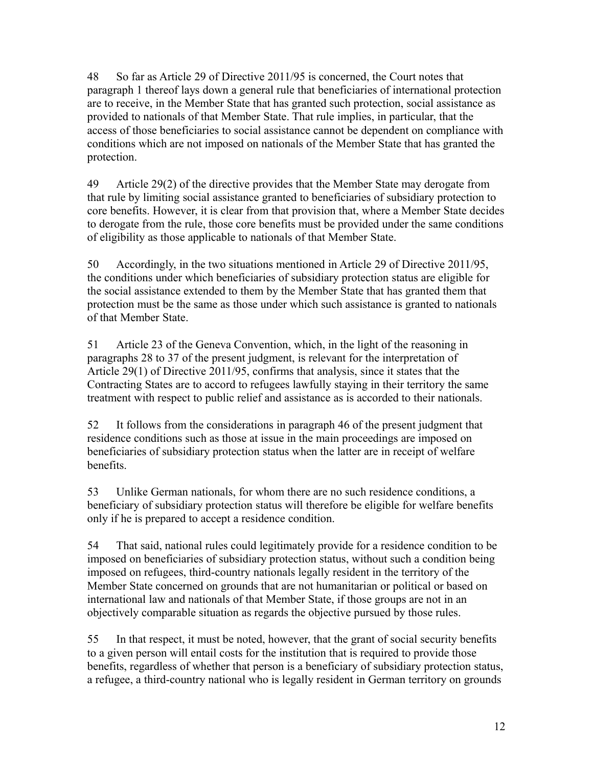48 So far as Article 29 of Directive 2011/95 is concerned, the Court notes that paragraph 1 thereof lays down a general rule that beneficiaries of international protection are to receive, in the Member State that has granted such protection, social assistance as provided to nationals of that Member State. That rule implies, in particular, that the access of those beneficiaries to social assistance cannot be dependent on compliance with conditions which are not imposed on nationals of the Member State that has granted the protection.

49 Article 29(2) of the directive provides that the Member State may derogate from that rule by limiting social assistance granted to beneficiaries of subsidiary protection to core benefits. However, it is clear from that provision that, where a Member State decides to derogate from the rule, those core benefits must be provided under the same conditions of eligibility as those applicable to nationals of that Member State.

50 Accordingly, in the two situations mentioned in Article 29 of Directive 2011/95, the conditions under which beneficiaries of subsidiary protection status are eligible for the social assistance extended to them by the Member State that has granted them that protection must be the same as those under which such assistance is granted to nationals of that Member State.

51 Article 23 of the Geneva Convention, which, in the light of the reasoning in paragraphs 28 to 37 of the present judgment, is relevant for the interpretation of Article 29(1) of Directive 2011/95, confirms that analysis, since it states that the Contracting States are to accord to refugees lawfully staying in their territory the same treatment with respect to public relief and assistance as is accorded to their nationals.

52 It follows from the considerations in paragraph 46 of the present judgment that residence conditions such as those at issue in the main proceedings are imposed on beneficiaries of subsidiary protection status when the latter are in receipt of welfare benefits.

53 Unlike German nationals, for whom there are no such residence conditions, a beneficiary of subsidiary protection status will therefore be eligible for welfare benefits only if he is prepared to accept a residence condition.

54 That said, national rules could legitimately provide for a residence condition to be imposed on beneficiaries of subsidiary protection status, without such a condition being imposed on refugees, third-country nationals legally resident in the territory of the Member State concerned on grounds that are not humanitarian or political or based on international law and nationals of that Member State, if those groups are not in an objectively comparable situation as regards the objective pursued by those rules.

55 In that respect, it must be noted, however, that the grant of social security benefits to a given person will entail costs for the institution that is required to provide those benefits, regardless of whether that person is a beneficiary of subsidiary protection status, a refugee, a third-country national who is legally resident in German territory on grounds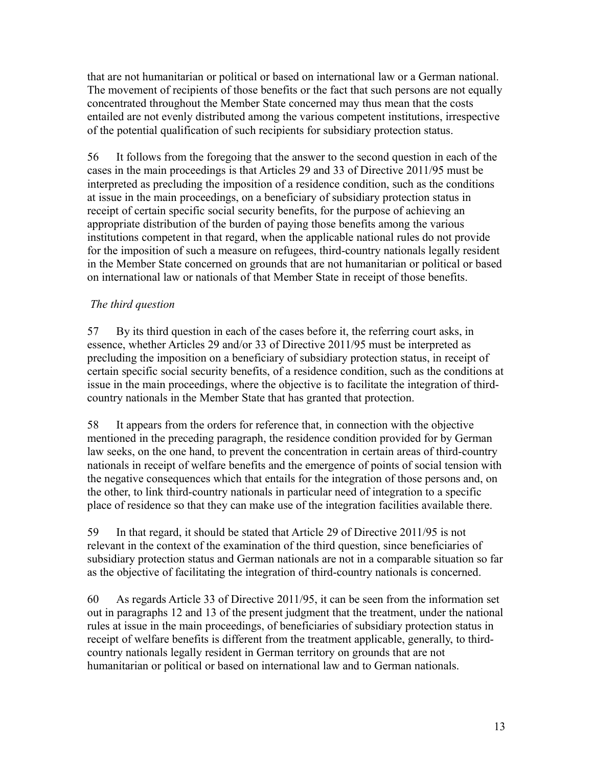that are not humanitarian or political or based on international law or a German national. The movement of recipients of those benefits or the fact that such persons are not equally concentrated throughout the Member State concerned may thus mean that the costs entailed are not evenly distributed among the various competent institutions, irrespective of the potential qualification of such recipients for subsidiary protection status.

56 It follows from the foregoing that the answer to the second question in each of the cases in the main proceedings is that Articles 29 and 33 of Directive 2011/95 must be interpreted as precluding the imposition of a residence condition, such as the conditions at issue in the main proceedings, on a beneficiary of subsidiary protection status in receipt of certain specific social security benefits, for the purpose of achieving an appropriate distribution of the burden of paying those benefits among the various institutions competent in that regard, when the applicable national rules do not provide for the imposition of such a measure on refugees, third-country nationals legally resident in the Member State concerned on grounds that are not humanitarian or political or based on international law or nationals of that Member State in receipt of those benefits.

## *The third question*

57 By its third question in each of the cases before it, the referring court asks, in essence, whether Articles 29 and/or 33 of Directive 2011/95 must be interpreted as precluding the imposition on a beneficiary of subsidiary protection status, in receipt of certain specific social security benefits, of a residence condition, such as the conditions at issue in the main proceedings, where the objective is to facilitate the integration of thirdcountry nationals in the Member State that has granted that protection.

58 It appears from the orders for reference that, in connection with the objective mentioned in the preceding paragraph, the residence condition provided for by German law seeks, on the one hand, to prevent the concentration in certain areas of third-country nationals in receipt of welfare benefits and the emergence of points of social tension with the negative consequences which that entails for the integration of those persons and, on the other, to link third-country nationals in particular need of integration to a specific place of residence so that they can make use of the integration facilities available there.

59 In that regard, it should be stated that Article 29 of Directive 2011/95 is not relevant in the context of the examination of the third question, since beneficiaries of subsidiary protection status and German nationals are not in a comparable situation so far as the objective of facilitating the integration of third-country nationals is concerned.

60 As regards Article 33 of Directive 2011/95, it can be seen from the information set out in paragraphs 12 and 13 of the present judgment that the treatment, under the national rules at issue in the main proceedings, of beneficiaries of subsidiary protection status in receipt of welfare benefits is different from the treatment applicable, generally, to thirdcountry nationals legally resident in German territory on grounds that are not humanitarian or political or based on international law and to German nationals.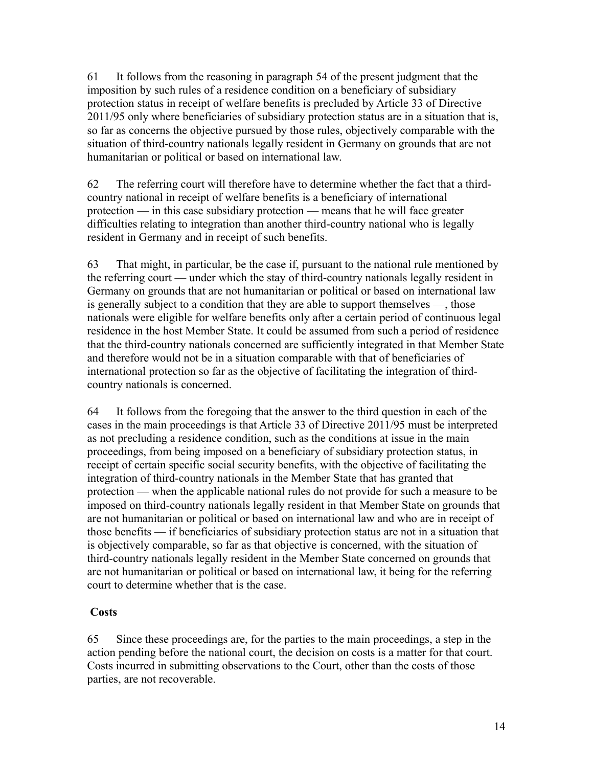61 It follows from the reasoning in paragraph 54 of the present judgment that the imposition by such rules of a residence condition on a beneficiary of subsidiary protection status in receipt of welfare benefits is precluded by Article 33 of Directive 2011/95 only where beneficiaries of subsidiary protection status are in a situation that is, so far as concerns the objective pursued by those rules, objectively comparable with the situation of third-country nationals legally resident in Germany on grounds that are not humanitarian or political or based on international law.

62 The referring court will therefore have to determine whether the fact that a thirdcountry national in receipt of welfare benefits is a beneficiary of international protection — in this case subsidiary protection — means that he will face greater difficulties relating to integration than another third-country national who is legally resident in Germany and in receipt of such benefits.

63 That might, in particular, be the case if, pursuant to the national rule mentioned by the referring court — under which the stay of third-country nationals legally resident in Germany on grounds that are not humanitarian or political or based on international law is generally subject to a condition that they are able to support themselves —, those nationals were eligible for welfare benefits only after a certain period of continuous legal residence in the host Member State. It could be assumed from such a period of residence that the third-country nationals concerned are sufficiently integrated in that Member State and therefore would not be in a situation comparable with that of beneficiaries of international protection so far as the objective of facilitating the integration of thirdcountry nationals is concerned.

64 It follows from the foregoing that the answer to the third question in each of the cases in the main proceedings is that Article 33 of Directive 2011/95 must be interpreted as not precluding a residence condition, such as the conditions at issue in the main proceedings, from being imposed on a beneficiary of subsidiary protection status, in receipt of certain specific social security benefits, with the objective of facilitating the integration of third-country nationals in the Member State that has granted that protection — when the applicable national rules do not provide for such a measure to be imposed on third-country nationals legally resident in that Member State on grounds that are not humanitarian or political or based on international law and who are in receipt of those benefits — if beneficiaries of subsidiary protection status are not in a situation that is objectively comparable, so far as that objective is concerned, with the situation of third-country nationals legally resident in the Member State concerned on grounds that are not humanitarian or political or based on international law, it being for the referring court to determine whether that is the case.

### **Costs**

65 Since these proceedings are, for the parties to the main proceedings, a step in the action pending before the national court, the decision on costs is a matter for that court. Costs incurred in submitting observations to the Court, other than the costs of those parties, are not recoverable.